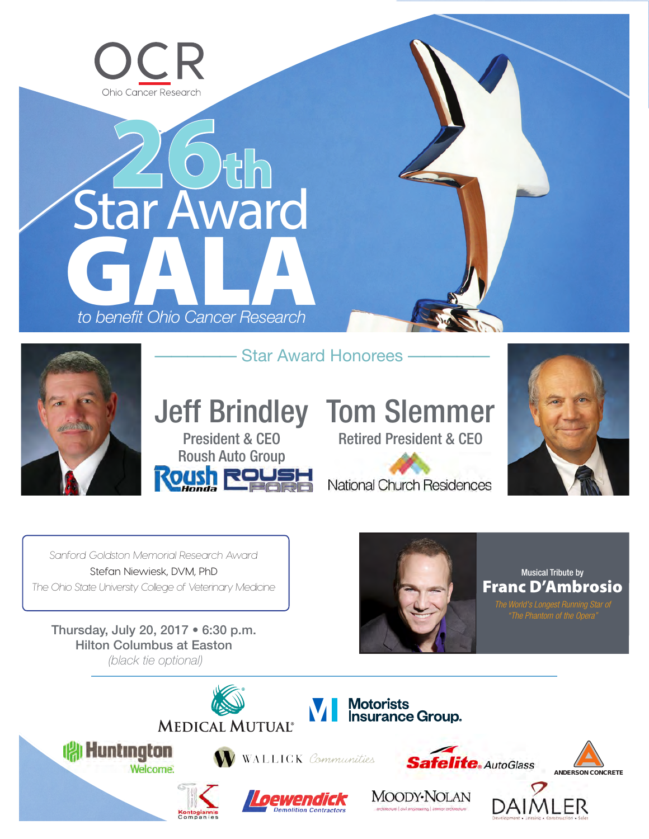

# GALA *to benefit Ohio Cancer Research* Star Award 26th



- Star Award Honorees

President & CEO Roush Auto Group

# **Jeff Brindley Tom Slemmer**

Retired President & CEO



National Church Residences

*Sanford Goldston Memorial Research Award* Stefan Niewiesk, DVM, PhD *The Ohio State University College of Veterinary Medicine*

Thursday, July 20, 2017 • 6:30 p.m. Hilton Columbus at Easton *(black tie optional)*



Musical Tribute by Franc D'Ambrosio

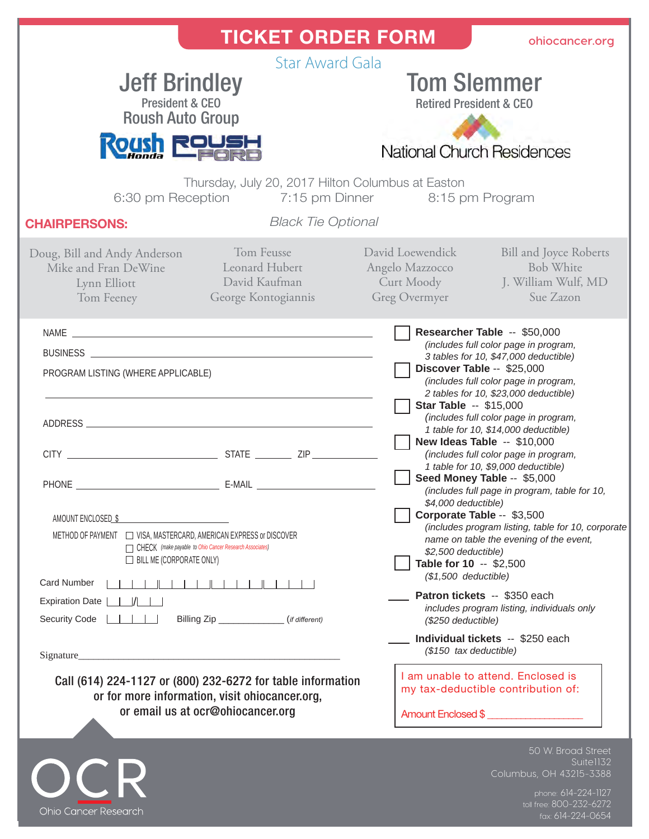| <b>TICKET ORDER FORM</b>                                                                                                                                                                                                                                                                                                                                                                                                                                                                                                      | ohiocancer.org                                                                                                                                                                                                                                                                                                                                                                                                                                                                                                                                                                                                                                                                                                                                                                                                                                                                                                                                                                                                                                        |
|-------------------------------------------------------------------------------------------------------------------------------------------------------------------------------------------------------------------------------------------------------------------------------------------------------------------------------------------------------------------------------------------------------------------------------------------------------------------------------------------------------------------------------|-------------------------------------------------------------------------------------------------------------------------------------------------------------------------------------------------------------------------------------------------------------------------------------------------------------------------------------------------------------------------------------------------------------------------------------------------------------------------------------------------------------------------------------------------------------------------------------------------------------------------------------------------------------------------------------------------------------------------------------------------------------------------------------------------------------------------------------------------------------------------------------------------------------------------------------------------------------------------------------------------------------------------------------------------------|
| <b>Star Award Gala</b><br><b>Jeff Brindley</b><br><b>President &amp; CEO</b><br><b>Roush Auto Group</b><br><b>Roush RousH</b><br>Thursday, July 20, 2017 Hilton Columbus at Easton                                                                                                                                                                                                                                                                                                                                            | <b>Tom Slemmer</b><br><b>Retired President &amp; CEO</b><br>National Church Residences                                                                                                                                                                                                                                                                                                                                                                                                                                                                                                                                                                                                                                                                                                                                                                                                                                                                                                                                                                |
| 6:30 pm Reception 7:15 pm Dinner 8:15 pm Program<br><b>Black Tie Optional</b><br><b>CHAIRPERSONS:</b>                                                                                                                                                                                                                                                                                                                                                                                                                         |                                                                                                                                                                                                                                                                                                                                                                                                                                                                                                                                                                                                                                                                                                                                                                                                                                                                                                                                                                                                                                                       |
| Tom Feusse<br>Doug, Bill and Andy Anderson<br>Leonard Hubert<br>Mike and Fran DeWine<br>David Kaufman<br>Lynn Elliott<br>George Kontogiannis<br>Tom Feeney                                                                                                                                                                                                                                                                                                                                                                    | David Loewendick<br><b>Bill and Joyce Roberts</b><br>Angelo Mazzocco<br><b>Bob White</b><br>Curt Moody<br>J. William Wulf, MD<br>Greg Overmyer<br>Sue Zazon                                                                                                                                                                                                                                                                                                                                                                                                                                                                                                                                                                                                                                                                                                                                                                                                                                                                                           |
| PROGRAM LISTING (WHERE APPLICABLE)<br>AMOUNT ENCLOSED \$<br>METHOD OF PAYMENT $\Box$ VISA, MASTERCARD, AMERICAN EXPRESS or DISCOVER<br>CHECK (make payable to Ohio Cancer Research Associates)<br>$\Box$ BILL ME (CORPORATE ONLY)<br><b>Card Number</b><br><b>Expiration Date</b><br>$\Box$ / $\Box$<br>Billing Zip _____________(if different)<br><b>Security Code</b><br>Call (614) 224-1127 or (800) 232-6272 for table information<br>or for more information, visit ohiocancer.org,<br>or email us at ocr@ohiocancer.org | Researcher Table -- \$50,000<br>(includes full color page in program,<br>3 tables for 10, \$47,000 deductible)<br>Discover Table -- \$25,000<br>(includes full color page in program,<br>2 tables for 10, \$23,000 deductible)<br><b>Star Table -- \$15,000</b><br>(includes full color page in program,<br>1 table for 10, \$14,000 deductible)<br>New Ideas Table -- \$10,000<br>(includes full color page in program,<br>1 table for 10, \$9,000 deductible)<br>Seed Money Table -- \$5,000<br>(includes full page in program, table for 10,<br>\$4,000 deductible)<br>Corporate Table -- \$3,500<br>(includes program listing, table for 10, corporate<br>name on table the evening of the event,<br>\$2,500 deductible)<br>Table for 10 -- \$2,500<br>$($1,500$ deductible)<br>Patron tickets -- \$350 each<br>includes program listing, individuals only<br>(\$250 deductible)<br>Individual tickets -- \$250 each<br>$($150$ tax deductible)<br>I am unable to attend. Enclosed is<br>my tax-deductible contribution of:<br>Amount Enclosed \$ |
|                                                                                                                                                                                                                                                                                                                                                                                                                                                                                                                               | 50 W. Broad Street<br>Suitel132<br>Columbus, OH 43215-3388<br>phone: 614-224-1127                                                                                                                                                                                                                                                                                                                                                                                                                                                                                                                                                                                                                                                                                                                                                                                                                                                                                                                                                                     |

Ohio Cancer Research

toll free: 800-232-6272 fax: 614-224-0654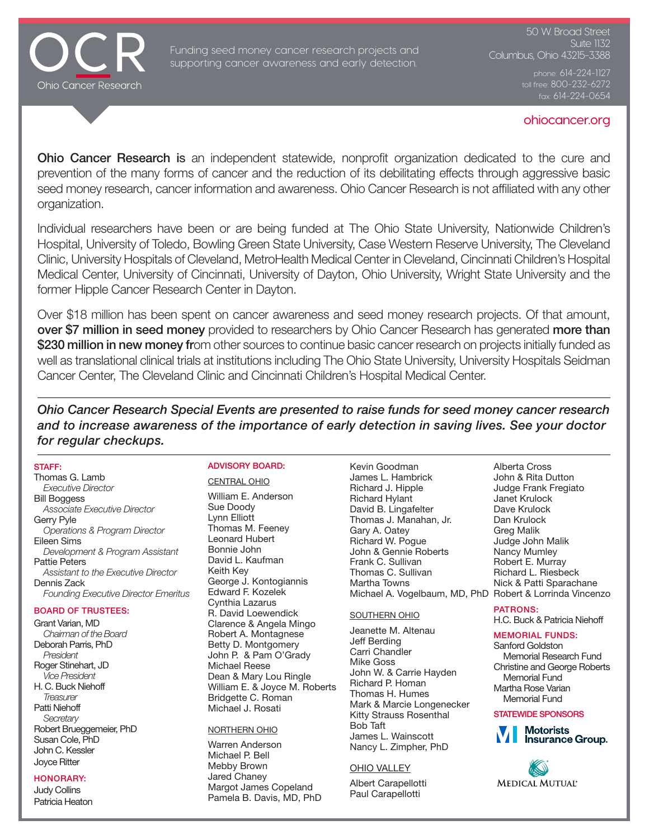

Funding seed money cancer research projects and supporting cancer awareness and early detection.

50 W. Broad Street Suite  $1\overline{3}2$ Columbus, Ohio 43215-3388

toll free: 800-232-6272

#### ohiocancer.org

**Ohio Cancer Research is** an independent statewide, nonprofit organization dedicated to the cure and prevention of the many forms of cancer and the reduction of its debilitating effects through aggressive basic seed money research, cancer information and awareness. Ohio Cancer Research is not affiliated with any other organization.

Individual researchers have been or are being funded at The Ohio State University, Nationwide Children's Hospital, University of Toledo, Bowling Green State University, Case Western Reserve University, The Cleveland Clinic, University Hospitals of Cleveland, MetroHealth Medical Center in Cleveland, Cincinnati Children's Hospital Medical Center, University of Cincinnati, University of Dayton, Ohio University, Wright State University and the former Hipple Cancer Research Center in Dayton.

Over \$18 million has been spent on cancer awareness and seed money research projects. Of that amount, over \$7 million in seed money provided to researchers by Ohio Cancer Research has generated more than \$230 million in new money from other sources to continue basic cancer research on projects initially funded as well as translational clinical trials at institutions including The Ohio State University, University Hospitals Seidman Cancer Center, The Cleveland Clinic and Cincinnati Children's Hospital Medical Center.

*Ohio Cancer Research Special Events are presented to raise funds for seed money cancer research and to increase awareness of the importance of early detection in saving lives. See your doctor for regular checkups.*

#### STAFF:

Thomas G. Lamb *Executive Director* Bill Boggess *Associate Executive Director* Gerry Pyle *Operations & Program Director* Eileen Sims *Development & Program Assistant* Pattie Peters *Assistant to the Executive Director* Dennis Zack *Founding Executive Director Emeritus*

# BOARD OF TRUSTEES:

Grant Varian, MD *Chairman of the Board* Deborah Parris, PhD *President*  Roger Stinehart, JD *Vice President*  H. C. Buck Niehoff *Treasurer* Patti Niehoff *Secretary* Robert Brueggemeier, PhD Susan Cole, PhD John C. Kessler Joyce Ritter

## HONORARY:

Judy Collins Patricia Heaton

## ADVISORY BOARD: CENTRAL OHIO

William E. Anderson Sue Doody Lynn Elliott Thomas M. Feeney Leonard Hubert Bonnie John David L. Kaufman Keith Key George J. Kontogiannis Edward F. Kozelek Cynthia Lazarus R. David Loewendick Clarence & Angela Mingo Robert A. Montagnese Betty D. Montgomery John P. & Pam O'Grady Michael Reese Dean & Mary Lou Ringle William E. & Joyce M. Roberts Bridgette C. Roman Michael J. Rosati

#### NORTHERN OHIO

Warren Anderson Michael P. Bell Mebby Brown Jared Chaney Margot James Copeland Pamela B. Davis, MD, PhD

Kevin Goodman James L. Hambrick Richard J. Hipple Richard Hylant David B. Lingafelter Thomas J. Manahan, Jr. Gary A. Oatey Richard W. Pogue John & Gennie Roberts Frank C. Sullivan Thomas C. Sullivan Martha Towns Michael A. Vogelbaum, MD, PhD Robert & Lorrinda Vincenzo

#### SOUTHERN OHIO

Jeanette M. Altenau Jeff Berding Carri Chandler Mike Goss John W. & Carrie Hayden Richard P. Homan Thomas H. Humes Mark & Marcie Longenecker Kitty Strauss Rosenthal Bob Taft James L. Wainscott Nancy L. Zimpher, PhD

#### OHIO VALLEY

Albert Carapellotti Paul Carapellotti

Alberta Cross John & Rita Dutton Judge Frank Fregiato Janet Krulock Dave Krulock Dan Krulock Greg Malik Judge John Malik Nancy Mumley Robert E. Murray Richard L. Riesbeck Nick & Patti Sparachane

#### PATRONS: H.C. Buck & Patricia Niehoff

# MEMORIAL FUNDS:

Sanford Goldston Memorial Research Fund Christine and George Roberts Memorial Fund Martha Rose Varian Memorial Fund

#### STATEWIDE SPONSORS